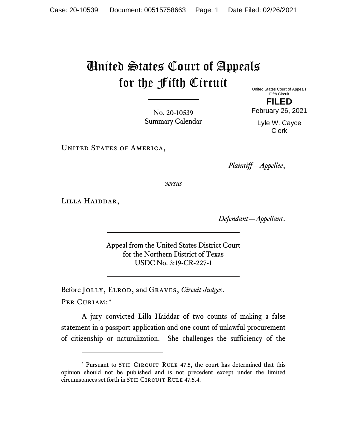## United States Court of Appeals for the Fifth Circuit

United States Court of Appeals Fifth Circuit **FILED**

February 26, 2021

No. 20-10539 Summary Calendar

Lyle W. Cayce Clerk

UNITED STATES OF AMERICA,

*Plaintiff—Appellee*,

*versus*

Lilla Haiddar,

*Defendant—Appellant*.

Appeal from the United States District Court for the Northern District of Texas USDC No. 3:19-CR-227-1

Before Jolly, Elrod, and Graves, *Circuit Judges*.

PER CURIAM:[\\*](#page-0-0)

A jury convicted Lilla Haiddar of two counts of making a false statement in a passport application and one count of unlawful procurement of citizenship or naturalization. She challenges the sufficiency of the

<span id="page-0-0"></span><sup>\*</sup> Pursuant to 5TH CIRCUIT RULE 47.5, the court has determined that this opinion should not be published and is not precedent except under the limited circumstances set forth in 5TH CIRCUIT RULE 47.5.4.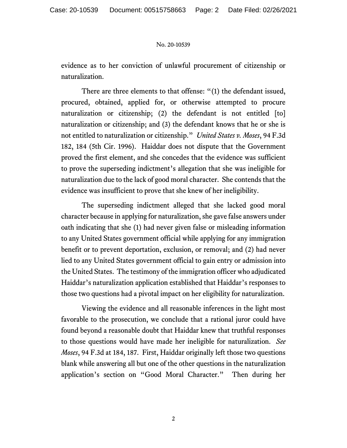## No. 20-10539

evidence as to her conviction of unlawful procurement of citizenship or naturalization.

There are three elements to that offense: "(1) the defendant issued, procured, obtained, applied for, or otherwise attempted to procure naturalization or citizenship; (2) the defendant is not entitled [to] naturalization or citizenship; and (3) the defendant knows that he or she is not entitled to naturalization or citizenship." *United States v. Moses*, 94 F.3d 182, 184 (5th Cir. 1996). Haiddar does not dispute that the Government proved the first element, and she concedes that the evidence was sufficient to prove the superseding indictment's allegation that she was ineligible for naturalization due to the lack of good moral character. She contends that the evidence was insufficient to prove that she knew of her ineligibility.

The superseding indictment alleged that she lacked good moral character because in applying for naturalization, she gave false answers under oath indicating that she (1) had never given false or misleading information to any United States government official while applying for any immigration benefit or to prevent deportation, exclusion, or removal; and (2) had never lied to any United States government official to gain entry or admission into the United States. The testimony of the immigration officer who adjudicated Haiddar's naturalization application established that Haiddar's responses to those two questions had a pivotal impact on her eligibility for naturalization.

Viewing the evidence and all reasonable inferences in the light most favorable to the prosecution, we conclude that a rational juror could have found beyond a reasonable doubt that Haiddar knew that truthful responses to those questions would have made her ineligible for naturalization. *See Moses*, 94 F.3d at 184, 187. First, Haiddar originally left those two questions blank while answering all but one of the other questions in the naturalization application's section on "Good Moral Character." Then during her